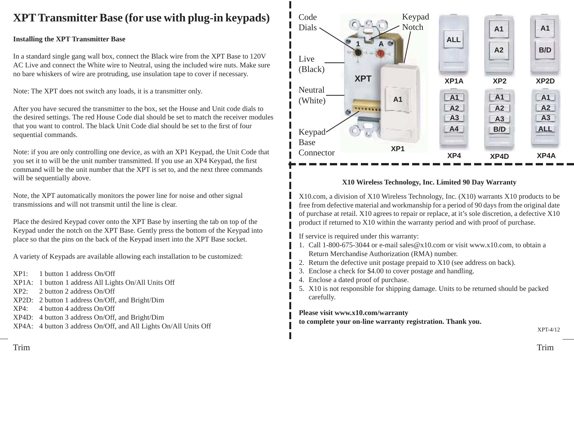### **XPT Transmitter Base (for use with plug-in keypads)** Code

#### **Installing the XPT Transmitter Base**

In a standard single gang wall box, connect the Black wire from the XPT Base to 120V AC Live and connect the White wire to Neutral, using the included wire nuts. Make sure no bare whiskers of wire are protruding, use insulation tape to cover if necessary.

Note: The XPT does not switch any loads, it is a transmitter only.

After you have secured the transmitter to the box, set the House and Unit code dials to the desired settings. The red House Code dial should be set to match the receiver modules that you want to control. The black Unit Code dial should be set to the first of four sequential commands.

Note: if you are only controlling one device, as with an XP1 Keypad, the Unit Code that you set it to will be the unit number transmitted. If you use an XP4 Keypad, the first command will be the unit number that the XPT is set to, and the next three commands will be sequentially above.

Note, the XPT automatically monitors the power line for noise and other signal transmissions and will not transmit until the line is clear.

Place the desired Keypad cover onto the XPT Base by inserting the tab on top of the Keypad under the notch on the XPT Base. Gently press the bottom of the Keypad into place so that the pins on the back of the Keypad insert into the XPT Base socket.

A variety of Keypads are available allowing each installation to be customized:

- XP1: 1 button 1 address On/Off
- XP1A: 1 button 1 address All Lights On/All Units Off
- XP2: 2 button 2 address On/Off
- XP2D: 2 button 1 address On/Off, and Bright/Dim
- XP4: 4 button 4 address On/Off
- XP4D: 4 button 3 address On/Off, and Bright/Dim
- XP4A: 4 button 3 address On/Off, and All Lights On/All Units Off



#### **X10 Wireless Technology, Inc. Limited 90 Day Warranty**

X10.com, a division of X10 Wireless Technology, Inc. (X10) warrants X10 products to be free from defective material and workmanship for a period of 90 days from the original date of purchase at retail. X10 agrees to repair or replace, at it's sole discretion, a defective X10 product if returned to X10 within the warranty period and with proof of purchase.

If service is required under this warranty:

- 1. Call 1-800-675-3044 or e-mail sales@x10.com or visit www.x10.com, to obtain a Return Merchandise Authorization (RMA) number.
- 2. Return the defective unit postage prepaid to X10 (see address on back).
- 3. Enclose a check for \$4.00 to cover postage and handling.
- 4. Enclose a dated proof of purchase.
- 5. X10 is not responsible for shipping damage. Units to be returned should be packed carefully.

**Please visit www.x10.com/warranty** 

**to complete your on-line warranty registration. Thank you.**

XPT-4/12

TrimTrim